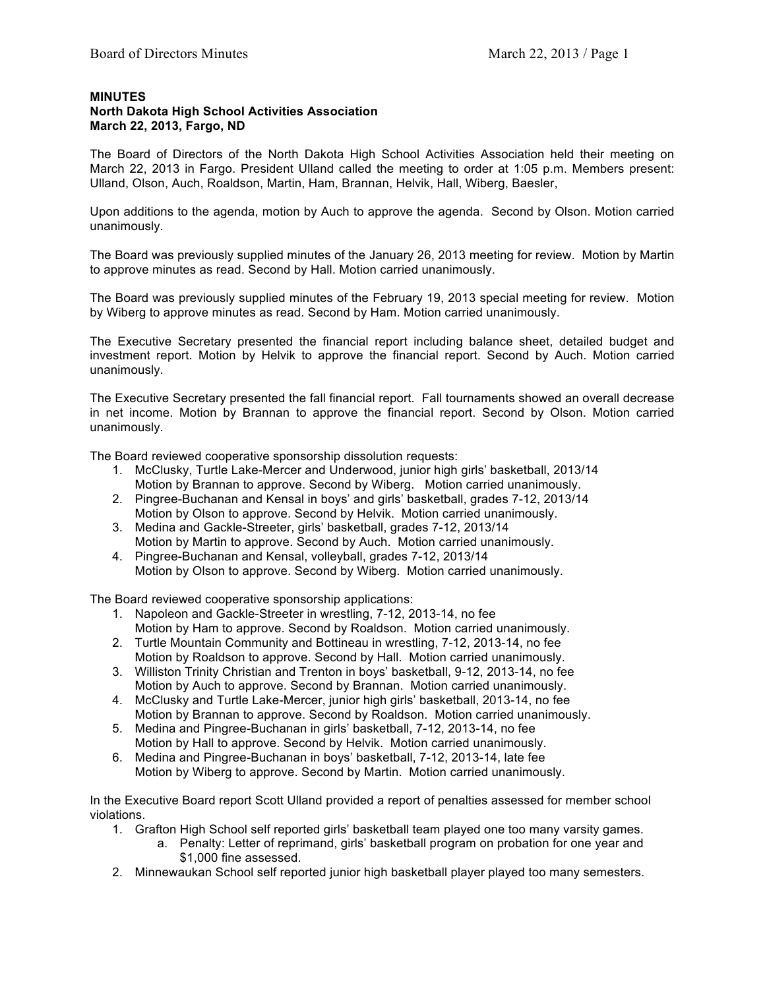## **MINUTES**

## **North Dakota High School Activities Association March 22, 2013, Fargo, ND**

The Board of Directors of the North Dakota High School Activities Association held their meeting on March 22, 2013 in Fargo. President Ulland called the meeting to order at 1:05 p.m. Members present: Ulland, Olson, Auch, Roaldson, Martin, Ham, Brannan, Helvik, Hall, Wiberg, Baesler,

Upon additions to the agenda, motion by Auch to approve the agenda. Second by Olson. Motion carried unanimously.

The Board was previously supplied minutes of the January 26, 2013 meeting for review. Motion by Martin to approve minutes as read. Second by Hall. Motion carried unanimously.

The Board was previously supplied minutes of the February 19, 2013 special meeting for review. Motion by Wiberg to approve minutes as read. Second by Ham. Motion carried unanimously.

The Executive Secretary presented the financial report including balance sheet, detailed budget and investment report. Motion by Helvik to approve the financial report. Second by Auch. Motion carried unanimously.

The Executive Secretary presented the fall financial report. Fall tournaments showed an overall decrease in net income. Motion by Brannan to approve the financial report. Second by Olson. Motion carried unanimously.

The Board reviewed cooperative sponsorship dissolution requests:

- 1. McClusky, Turtle Lake-Mercer and Underwood, junior high girls' basketball, 2013/14 Motion by Brannan to approve. Second by Wiberg. Motion carried unanimously.
- 2. Pingree-Buchanan and Kensal in boys' and girls' basketball, grades 7-12, 2013/14 Motion by Olson to approve. Second by Helvik. Motion carried unanimously.
- 3. Medina and Gackle-Streeter, girls' basketball, grades 7-12, 2013/14 Motion by Martin to approve. Second by Auch. Motion carried unanimously.
- 4. Pingree-Buchanan and Kensal, volleyball, grades 7-12, 2013/14 Motion by Olson to approve. Second by Wiberg. Motion carried unanimously.

The Board reviewed cooperative sponsorship applications:

- 1. Napoleon and Gackle-Streeter in wrestling, 7-12, 2013-14, no fee Motion by Ham to approve. Second by Roaldson. Motion carried unanimously.
- 2. Turtle Mountain Community and Bottineau in wrestling, 7-12, 2013-14, no fee Motion by Roaldson to approve. Second by Hall. Motion carried unanimously.
- 3. Williston Trinity Christian and Trenton in boys' basketball, 9-12, 2013-14, no fee Motion by Auch to approve. Second by Brannan. Motion carried unanimously.
- 4. McClusky and Turtle Lake-Mercer, junior high girls' basketball, 2013-14, no fee Motion by Brannan to approve. Second by Roaldson. Motion carried unanimously.
- 5. Medina and Pingree-Buchanan in girls' basketball, 7-12, 2013-14, no fee Motion by Hall to approve. Second by Helvik. Motion carried unanimously.
- 6. Medina and Pingree-Buchanan in boys' basketball, 7-12, 2013-14, late fee Motion by Wiberg to approve. Second by Martin. Motion carried unanimously.

In the Executive Board report Scott Ulland provided a report of penalties assessed for member school violations.

- 1. Grafton High School self reported girls' basketball team played one too many varsity games.
	- a. Penalty: Letter of reprimand, girls' basketball program on probation for one year and \$1,000 fine assessed.
- 2. Minnewaukan School self reported junior high basketball player played too many semesters.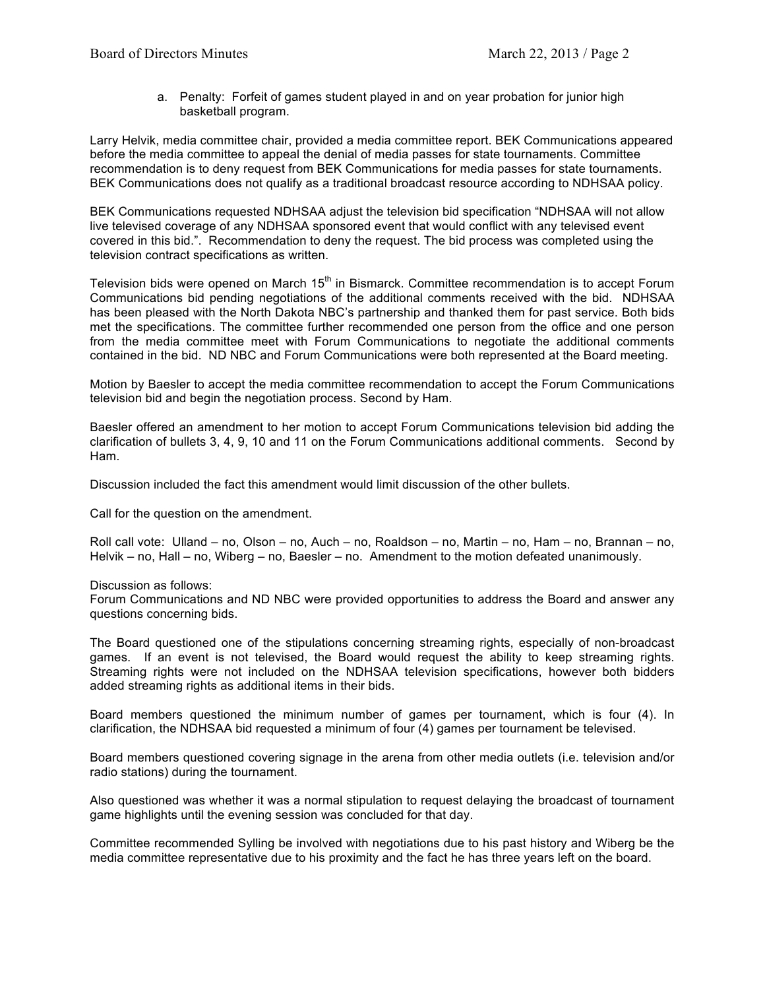a. Penalty: Forfeit of games student played in and on year probation for junior high basketball program.

Larry Helvik, media committee chair, provided a media committee report. BEK Communications appeared before the media committee to appeal the denial of media passes for state tournaments. Committee recommendation is to deny request from BEK Communications for media passes for state tournaments. BEK Communications does not qualify as a traditional broadcast resource according to NDHSAA policy.

BEK Communications requested NDHSAA adjust the television bid specification "NDHSAA will not allow live televised coverage of any NDHSAA sponsored event that would conflict with any televised event covered in this bid.". Recommendation to deny the request. The bid process was completed using the television contract specifications as written.

Television bids were opened on March 15<sup>th</sup> in Bismarck. Committee recommendation is to accept Forum Communications bid pending negotiations of the additional comments received with the bid. NDHSAA has been pleased with the North Dakota NBC's partnership and thanked them for past service. Both bids met the specifications. The committee further recommended one person from the office and one person from the media committee meet with Forum Communications to negotiate the additional comments contained in the bid. ND NBC and Forum Communications were both represented at the Board meeting.

Motion by Baesler to accept the media committee recommendation to accept the Forum Communications television bid and begin the negotiation process. Second by Ham.

Baesler offered an amendment to her motion to accept Forum Communications television bid adding the clarification of bullets 3, 4, 9, 10 and 11 on the Forum Communications additional comments. Second by Ham.

Discussion included the fact this amendment would limit discussion of the other bullets.

Call for the question on the amendment.

Roll call vote: Ulland – no, Olson – no, Auch – no, Roaldson – no, Martin – no, Ham – no, Brannan – no, Helvik – no, Hall – no, Wiberg – no, Baesler – no. Amendment to the motion defeated unanimously.

Discussion as follows:

Forum Communications and ND NBC were provided opportunities to address the Board and answer any questions concerning bids.

The Board questioned one of the stipulations concerning streaming rights, especially of non-broadcast games. If an event is not televised, the Board would request the ability to keep streaming rights. Streaming rights were not included on the NDHSAA television specifications, however both bidders added streaming rights as additional items in their bids.

Board members questioned the minimum number of games per tournament, which is four (4). In clarification, the NDHSAA bid requested a minimum of four (4) games per tournament be televised.

Board members questioned covering signage in the arena from other media outlets (i.e. television and/or radio stations) during the tournament.

Also questioned was whether it was a normal stipulation to request delaying the broadcast of tournament game highlights until the evening session was concluded for that day.

Committee recommended Sylling be involved with negotiations due to his past history and Wiberg be the media committee representative due to his proximity and the fact he has three years left on the board.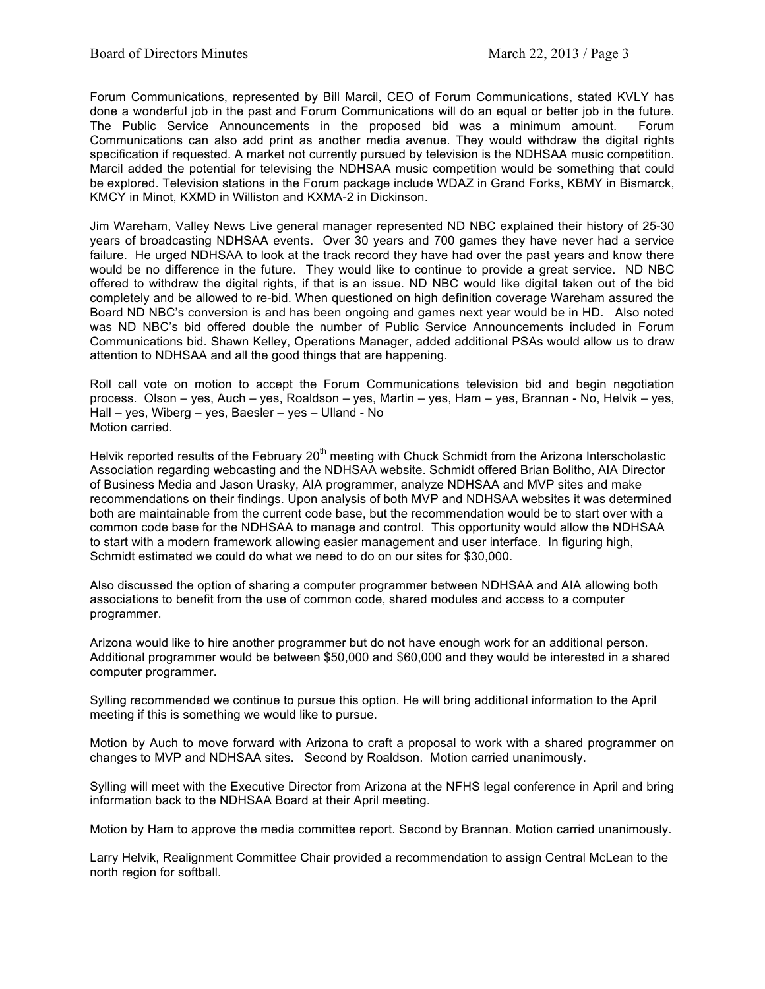Forum Communications, represented by Bill Marcil, CEO of Forum Communications, stated KVLY has done a wonderful job in the past and Forum Communications will do an equal or better job in the future. The Public Service Announcements in the proposed bid was a minimum amount. Forum Communications can also add print as another media avenue. They would withdraw the digital rights specification if requested. A market not currently pursued by television is the NDHSAA music competition. Marcil added the potential for televising the NDHSAA music competition would be something that could be explored. Television stations in the Forum package include WDAZ in Grand Forks, KBMY in Bismarck, KMCY in Minot, KXMD in Williston and KXMA-2 in Dickinson.

Jim Wareham, Valley News Live general manager represented ND NBC explained their history of 25-30 years of broadcasting NDHSAA events. Over 30 years and 700 games they have never had a service failure. He urged NDHSAA to look at the track record they have had over the past years and know there would be no difference in the future. They would like to continue to provide a great service. ND NBC offered to withdraw the digital rights, if that is an issue. ND NBC would like digital taken out of the bid completely and be allowed to re-bid. When questioned on high definition coverage Wareham assured the Board ND NBC's conversion is and has been ongoing and games next year would be in HD. Also noted was ND NBC's bid offered double the number of Public Service Announcements included in Forum Communications bid. Shawn Kelley, Operations Manager, added additional PSAs would allow us to draw attention to NDHSAA and all the good things that are happening.

Roll call vote on motion to accept the Forum Communications television bid and begin negotiation process. Olson – yes, Auch – yes, Roaldson – yes, Martin – yes, Ham – yes, Brannan - No, Helvik – yes, Hall – yes, Wiberg – yes, Baesler – yes – Ulland - No Motion carried.

Helvik reported results of the February 20<sup>th</sup> meeting with Chuck Schmidt from the Arizona Interscholastic Association regarding webcasting and the NDHSAA website. Schmidt offered Brian Bolitho, AIA Director of Business Media and Jason Urasky, AIA programmer, analyze NDHSAA and MVP sites and make recommendations on their findings. Upon analysis of both MVP and NDHSAA websites it was determined both are maintainable from the current code base, but the recommendation would be to start over with a common code base for the NDHSAA to manage and control. This opportunity would allow the NDHSAA to start with a modern framework allowing easier management and user interface. In figuring high, Schmidt estimated we could do what we need to do on our sites for \$30,000.

Also discussed the option of sharing a computer programmer between NDHSAA and AIA allowing both associations to benefit from the use of common code, shared modules and access to a computer programmer.

Arizona would like to hire another programmer but do not have enough work for an additional person. Additional programmer would be between \$50,000 and \$60,000 and they would be interested in a shared computer programmer.

Sylling recommended we continue to pursue this option. He will bring additional information to the April meeting if this is something we would like to pursue.

Motion by Auch to move forward with Arizona to craft a proposal to work with a shared programmer on changes to MVP and NDHSAA sites. Second by Roaldson. Motion carried unanimously.

Sylling will meet with the Executive Director from Arizona at the NFHS legal conference in April and bring information back to the NDHSAA Board at their April meeting.

Motion by Ham to approve the media committee report. Second by Brannan. Motion carried unanimously.

Larry Helvik, Realignment Committee Chair provided a recommendation to assign Central McLean to the north region for softball.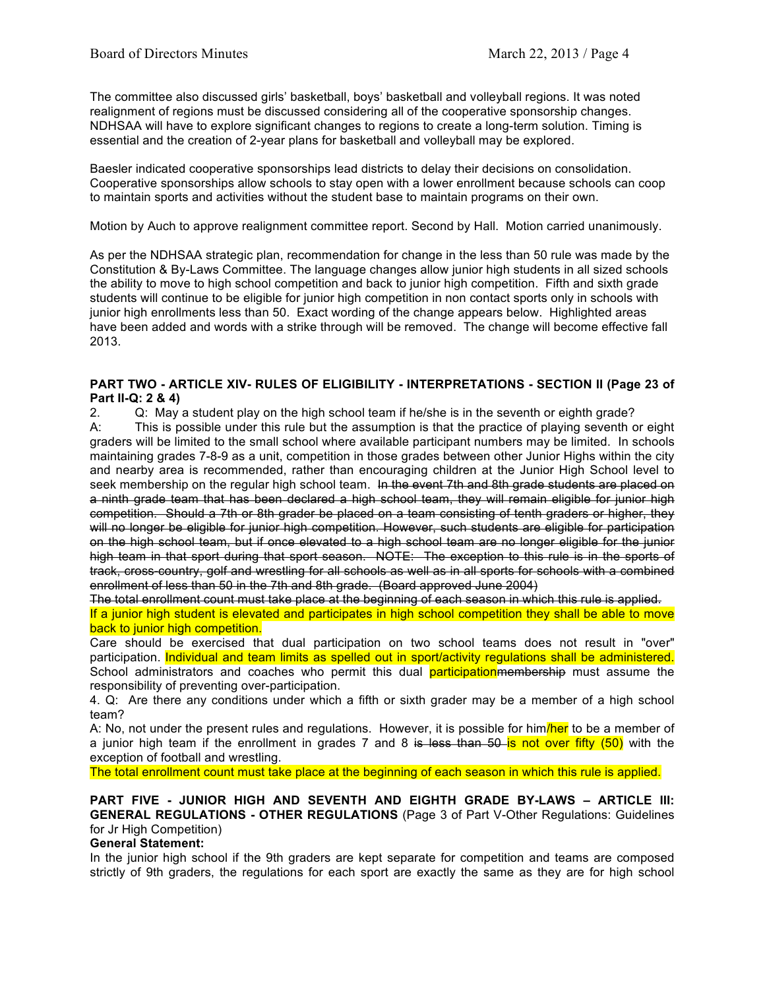The committee also discussed girls' basketball, boys' basketball and volleyball regions. It was noted realignment of regions must be discussed considering all of the cooperative sponsorship changes. NDHSAA will have to explore significant changes to regions to create a long-term solution. Timing is essential and the creation of 2-year plans for basketball and volleyball may be explored.

Baesler indicated cooperative sponsorships lead districts to delay their decisions on consolidation. Cooperative sponsorships allow schools to stay open with a lower enrollment because schools can coop to maintain sports and activities without the student base to maintain programs on their own.

Motion by Auch to approve realignment committee report. Second by Hall. Motion carried unanimously.

As per the NDHSAA strategic plan, recommendation for change in the less than 50 rule was made by the Constitution & By-Laws Committee. The language changes allow junior high students in all sized schools the ability to move to high school competition and back to junior high competition. Fifth and sixth grade students will continue to be eligible for junior high competition in non contact sports only in schools with junior high enrollments less than 50. Exact wording of the change appears below. Highlighted areas have been added and words with a strike through will be removed. The change will become effective fall 2013.

## **PART TWO - ARTICLE XIV- RULES OF ELIGIBILITY - INTERPRETATIONS - SECTION II (Page 23 of Part II-Q: 2 & 4)**

2. Q: May a student play on the high school team if he/she is in the seventh or eighth grade?

A: This is possible under this rule but the assumption is that the practice of playing seventh or eight graders will be limited to the small school where available participant numbers may be limited. In schools maintaining grades 7-8-9 as a unit, competition in those grades between other Junior Highs within the city and nearby area is recommended, rather than encouraging children at the Junior High School level to seek membership on the regular high school team. In the event 7th and 8th grade students are placed on a ninth grade team that has been declared a high school team, they will remain eligible for junior high competition. Should a 7th or 8th grader be placed on a team consisting of tenth graders or higher, they will no longer be eligible for junior high competition. However, such students are eligible for participation on the high school team, but if once elevated to a high school team are no longer eligible for the junior high team in that sport during that sport season. NOTE: The exception to this rule is in the sports of track, cross-country, golf and wrestling for all schools as well as in all sports for schools with a combined enrollment of less than 50 in the 7th and 8th grade. (Board approved June 2004)

The total enrollment count must take place at the beginning of each season in which this rule is applied.

If a junior high student is elevated and participates in high school competition they shall be able to move back to junior high competition.

Care should be exercised that dual participation on two school teams does not result in "over" participation. Individual and team limits as spelled out in sport/activity regulations shall be administered. School administrators and coaches who permit this dual participation membership must assume the responsibility of preventing over-participation.

4. Q: Are there any conditions under which a fifth or sixth grader may be a member of a high school team?

A: No, not under the present rules and regulations. However, it is possible for him/her to be a member of a junior high team if the enrollment in grades 7 and 8 is less than 50 is not over fifty  $(50)$  with the exception of football and wrestling.

The total enrollment count must take place at the beginning of each season in which this rule is applied.

**PART FIVE - JUNIOR HIGH AND SEVENTH AND EIGHTH GRADE BY-LAWS – ARTICLE III: GENERAL REGULATIONS - OTHER REGULATIONS** (Page 3 of Part V-Other Regulations: Guidelines for Jr High Competition)

## **General Statement:**

In the junior high school if the 9th graders are kept separate for competition and teams are composed strictly of 9th graders, the regulations for each sport are exactly the same as they are for high school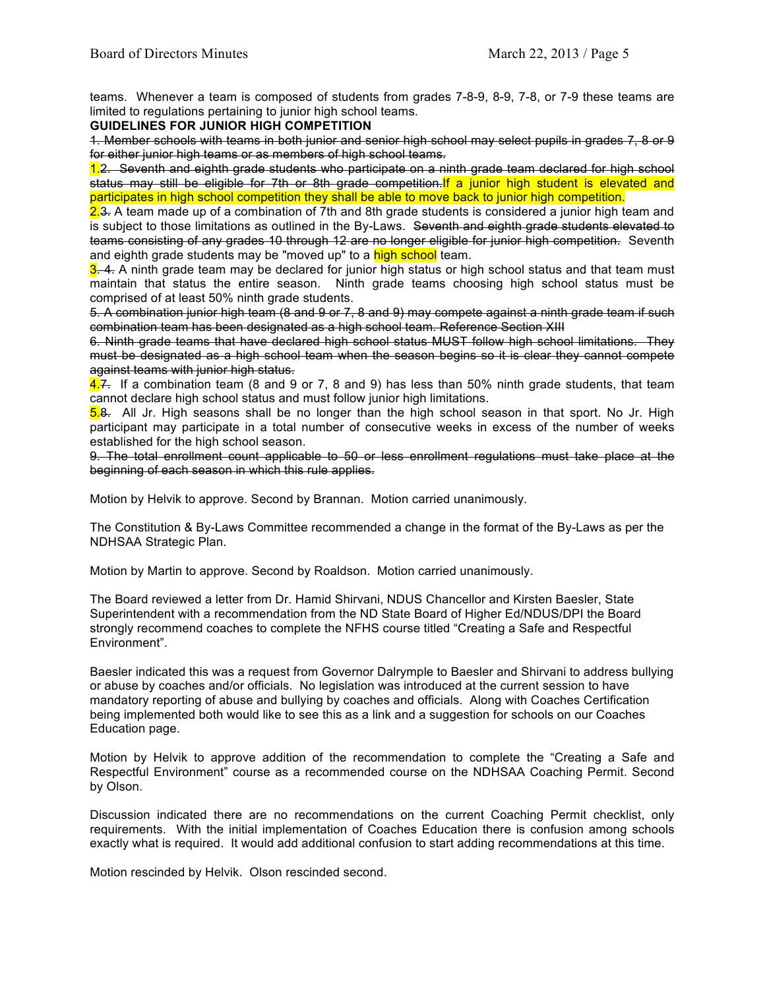teams. Whenever a team is composed of students from grades 7-8-9, 8-9, 7-8, or 7-9 these teams are limited to regulations pertaining to junior high school teams.

**GUIDELINES FOR JUNIOR HIGH COMPETITION**

1. Member schools with teams in both junior and senior high school may select pupils in grades 7, 8 or 9 for either junior high teams or as members of high school teams.

1.2. Seventh and eighth grade students who participate on a ninth grade team declared for high school status may still be eligible for 7th or 8th grade competition. If a junior high student is elevated and participates in high school competition they shall be able to move back to junior high competition.

2.3. A team made up of a combination of 7th and 8th grade students is considered a junior high team and is subject to those limitations as outlined in the By-Laws. Seventh and eighth grade students elevated to teams consisting of any grades 10 through 12 are no longer eligible for junior high competition. Seventh and eighth grade students may be "moved up" to a high school team.

 $3.4$ . A ninth grade team may be declared for junior high status or high school status and that team must maintain that status the entire season. Ninth grade teams choosing high school status must be comprised of at least 50% ninth grade students.

5. A combination junior high team (8 and 9 or 7, 8 and 9) may compete against a ninth grade team if such combination team has been designated as a high school team. Reference Section XIII

6. Ninth grade teams that have declared high school status MUST follow high school limitations. They must be designated as a high school team when the season begins so it is clear they cannot compete against teams with junior high status.

4.7. If a combination team (8 and 9 or 7, 8 and 9) has less than 50% ninth grade students, that team cannot declare high school status and must follow junior high limitations.

5.8. All Jr. High seasons shall be no longer than the high school season in that sport. No Jr. High participant may participate in a total number of consecutive weeks in excess of the number of weeks established for the high school season.

9. The total enrollment count applicable to 50 or less enrollment regulations must take place at the beginning of each season in which this rule applies.

Motion by Helvik to approve. Second by Brannan. Motion carried unanimously.

The Constitution & By-Laws Committee recommended a change in the format of the By-Laws as per the NDHSAA Strategic Plan.

Motion by Martin to approve. Second by Roaldson. Motion carried unanimously.

The Board reviewed a letter from Dr. Hamid Shirvani, NDUS Chancellor and Kirsten Baesler, State Superintendent with a recommendation from the ND State Board of Higher Ed/NDUS/DPI the Board strongly recommend coaches to complete the NFHS course titled "Creating a Safe and Respectful Environment".

Baesler indicated this was a request from Governor Dalrymple to Baesler and Shirvani to address bullying or abuse by coaches and/or officials. No legislation was introduced at the current session to have mandatory reporting of abuse and bullying by coaches and officials. Along with Coaches Certification being implemented both would like to see this as a link and a suggestion for schools on our Coaches Education page.

Motion by Helvik to approve addition of the recommendation to complete the "Creating a Safe and Respectful Environment" course as a recommended course on the NDHSAA Coaching Permit. Second by Olson.

Discussion indicated there are no recommendations on the current Coaching Permit checklist, only requirements. With the initial implementation of Coaches Education there is confusion among schools exactly what is required. It would add additional confusion to start adding recommendations at this time.

Motion rescinded by Helvik. Olson rescinded second.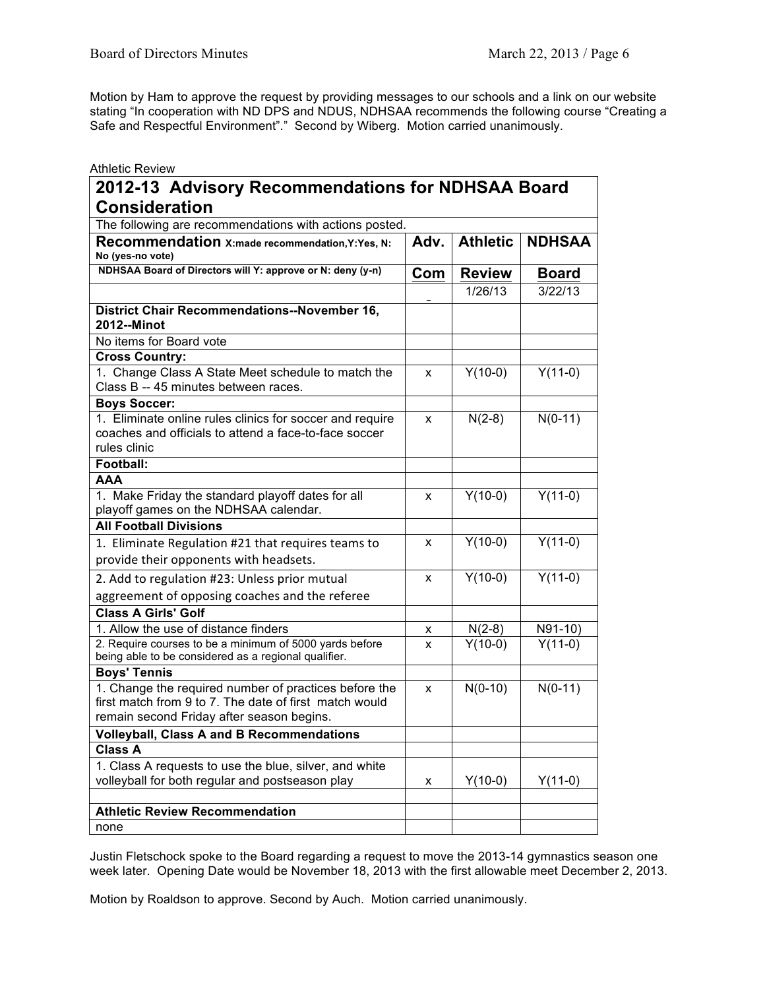Motion by Ham to approve the request by providing messages to our schools and a link on our website stating "In cooperation with ND DPS and NDUS, NDHSAA recommends the following course "Creating a Safe and Respectful Environment"." Second by Wiberg. Motion carried unanimously.

| <b>Athletic Review</b>                                                                                                                                       |      |                 |               |
|--------------------------------------------------------------------------------------------------------------------------------------------------------------|------|-----------------|---------------|
| 2012-13 Advisory Recommendations for NDHSAA Board                                                                                                            |      |                 |               |
| <b>Consideration</b>                                                                                                                                         |      |                 |               |
| The following are recommendations with actions posted.                                                                                                       |      |                 |               |
| Recommendation X:made recommendation, Y:Yes, N:<br>No (yes-no vote)                                                                                          | Adv. | <b>Athletic</b> | <b>NDHSAA</b> |
| NDHSAA Board of Directors will Y: approve or N: deny (y-n)                                                                                                   | Com  | <b>Review</b>   | <b>Board</b>  |
|                                                                                                                                                              |      | 1/26/13         | 3/22/13       |
| <b>District Chair Recommendations--November 16,</b><br>2012--Minot                                                                                           |      |                 |               |
| No items for Board vote                                                                                                                                      |      |                 |               |
| <b>Cross Country:</b>                                                                                                                                        |      |                 |               |
| 1. Change Class A State Meet schedule to match the<br>Class B -- 45 minutes between races.                                                                   | x    | $Y(10-0)$       | $Y(11-0)$     |
| <b>Boys Soccer:</b>                                                                                                                                          |      |                 |               |
| 1. Eliminate online rules clinics for soccer and require<br>coaches and officials to attend a face-to-face soccer<br>rules clinic                            | X    | $N(2-8)$        | $N(0-11)$     |
| Football:                                                                                                                                                    |      |                 |               |
| <b>AAA</b>                                                                                                                                                   |      |                 |               |
| 1. Make Friday the standard playoff dates for all<br>playoff games on the NDHSAA calendar.                                                                   | x    | $Y(10-0)$       | $Y(11-0)$     |
| <b>All Football Divisions</b>                                                                                                                                |      |                 |               |
| 1. Eliminate Regulation #21 that requires teams to                                                                                                           | x    | $Y(10-0)$       | $Y(11-0)$     |
| provide their opponents with headsets.                                                                                                                       |      |                 |               |
| 2. Add to regulation #23: Unless prior mutual                                                                                                                | X    | $Y(10-0)$       | $Y(11-0)$     |
| aggreement of opposing coaches and the referee                                                                                                               |      |                 |               |
| <b>Class A Girls' Golf</b>                                                                                                                                   |      |                 |               |
| 1. Allow the use of distance finders                                                                                                                         | x    | $N(2-8)$        | N91-10)       |
| 2. Require courses to be a minimum of 5000 yards before<br>being able to be considered as a regional qualifier.                                              | x    | $Y(10-0)$       | $Y(11-0)$     |
| <b>Boys' Tennis</b>                                                                                                                                          |      |                 |               |
| 1. Change the required number of practices before the<br>first match from 9 to 7. The date of first match would<br>remain second Friday after season begins. | X    | $N(0-10)$       | $N(0-11)$     |
| <b>Volleyball, Class A and B Recommendations</b>                                                                                                             |      |                 |               |
| <b>Class A</b>                                                                                                                                               |      |                 |               |
| 1. Class A requests to use the blue, silver, and white<br>volleyball for both regular and postseason play                                                    | x    | $Y(10-0)$       | $Y(11-0)$     |
| <b>Athletic Review Recommendation</b>                                                                                                                        |      |                 |               |
| none                                                                                                                                                         |      |                 |               |

Justin Fletschock spoke to the Board regarding a request to move the 2013-14 gymnastics season one week later. Opening Date would be November 18, 2013 with the first allowable meet December 2, 2013.

Motion by Roaldson to approve. Second by Auch. Motion carried unanimously.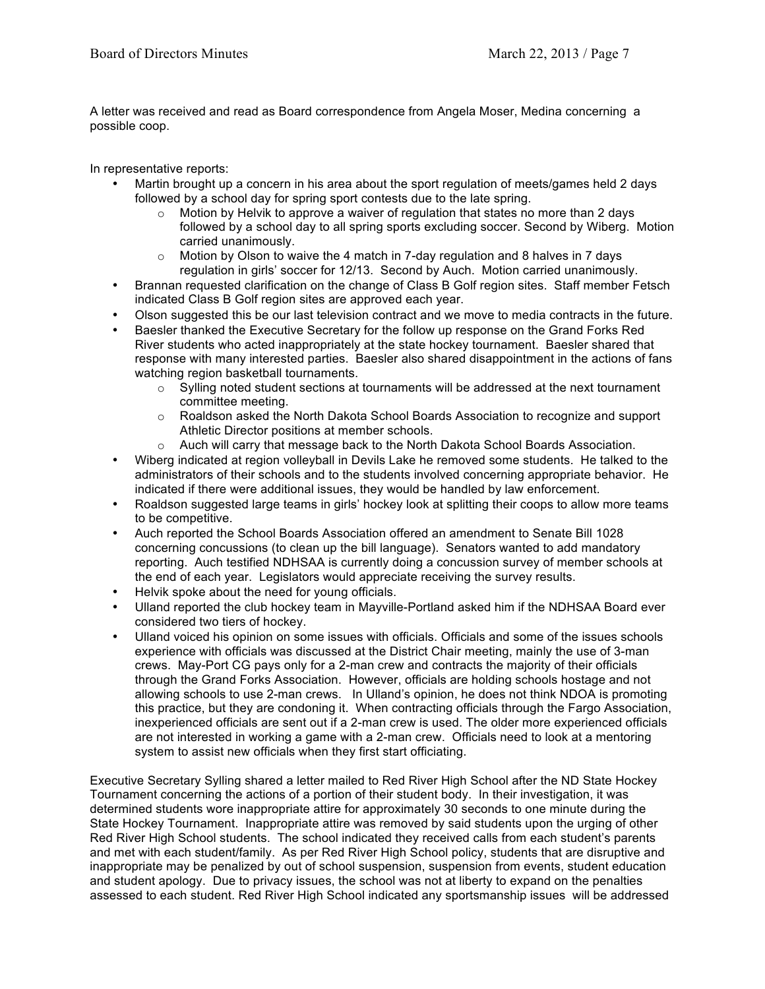A letter was received and read as Board correspondence from Angela Moser, Medina concerning a possible coop.

In representative reports:

- Martin brought up a concern in his area about the sport regulation of meets/games held 2 days followed by a school day for spring sport contests due to the late spring.
	- $\circ$  Motion by Helvik to approve a waiver of regulation that states no more than 2 days followed by a school day to all spring sports excluding soccer. Second by Wiberg. Motion carried unanimously.
	- $\circ$  Motion by Olson to waive the 4 match in 7-day regulation and 8 halves in 7 days regulation in girls' soccer for 12/13. Second by Auch. Motion carried unanimously.
- Brannan requested clarification on the change of Class B Golf region sites. Staff member Fetsch indicated Class B Golf region sites are approved each year.
- Olson suggested this be our last television contract and we move to media contracts in the future.
- Baesler thanked the Executive Secretary for the follow up response on the Grand Forks Red River students who acted inappropriately at the state hockey tournament. Baesler shared that response with many interested parties. Baesler also shared disappointment in the actions of fans watching region basketball tournaments.
	- $\circ$  Sylling noted student sections at tournaments will be addressed at the next tournament committee meeting.
	- $\circ$  Roaldson asked the North Dakota School Boards Association to recognize and support Athletic Director positions at member schools.
	- o Auch will carry that message back to the North Dakota School Boards Association.
- Wiberg indicated at region volleyball in Devils Lake he removed some students. He talked to the administrators of their schools and to the students involved concerning appropriate behavior. He indicated if there were additional issues, they would be handled by law enforcement.
- Roaldson suggested large teams in girls' hockey look at splitting their coops to allow more teams to be competitive.
- Auch reported the School Boards Association offered an amendment to Senate Bill 1028 concerning concussions (to clean up the bill language). Senators wanted to add mandatory reporting. Auch testified NDHSAA is currently doing a concussion survey of member schools at the end of each year. Legislators would appreciate receiving the survey results.
- Helvik spoke about the need for young officials.
- Ulland reported the club hockey team in Mayville-Portland asked him if the NDHSAA Board ever considered two tiers of hockey.
- Ulland voiced his opinion on some issues with officials. Officials and some of the issues schools experience with officials was discussed at the District Chair meeting, mainly the use of 3-man crews. May-Port CG pays only for a 2-man crew and contracts the majority of their officials through the Grand Forks Association. However, officials are holding schools hostage and not allowing schools to use 2-man crews. In Ulland's opinion, he does not think NDOA is promoting this practice, but they are condoning it. When contracting officials through the Fargo Association, inexperienced officials are sent out if a 2-man crew is used. The older more experienced officials are not interested in working a game with a 2-man crew. Officials need to look at a mentoring system to assist new officials when they first start officiating.

Executive Secretary Sylling shared a letter mailed to Red River High School after the ND State Hockey Tournament concerning the actions of a portion of their student body. In their investigation, it was determined students wore inappropriate attire for approximately 30 seconds to one minute during the State Hockey Tournament. Inappropriate attire was removed by said students upon the urging of other Red River High School students. The school indicated they received calls from each student's parents and met with each student/family. As per Red River High School policy, students that are disruptive and inappropriate may be penalized by out of school suspension, suspension from events, student education and student apology. Due to privacy issues, the school was not at liberty to expand on the penalties assessed to each student. Red River High School indicated any sportsmanship issues will be addressed